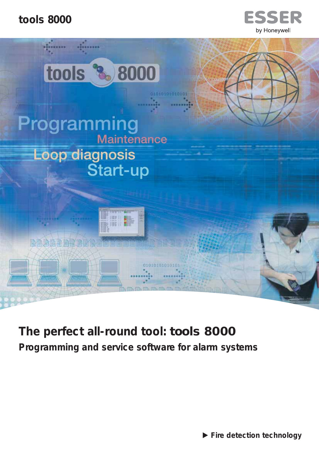





**The perfect all-round tool: tools 8000 Programming and service software for alarm systems** 

- **Fire detection technology**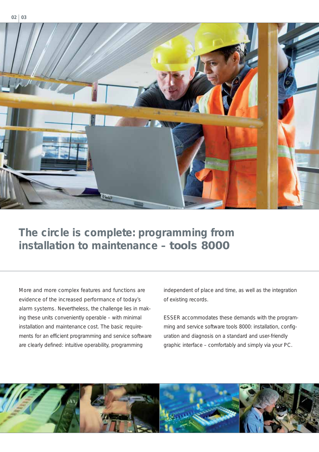

# **The circle is complete: programming from installation to maintenance – tools 8000**

More and more complex features and functions are evidence of the increased performance of today's alarm systems. Nevertheless, the challenge lies in making these units conveniently operable – with minimal installation and maintenance cost. The basic requirements for an efficient programming and service software are clearly defined: intuitive operability, programming

independent of place and time, as well as the integration of existing records.

ESSER accommodates these demands with the programming and service software tools 8000: installation, configuration and diagnosis on a standard and user-friendly graphic interface – comfortably and simply via your PC.

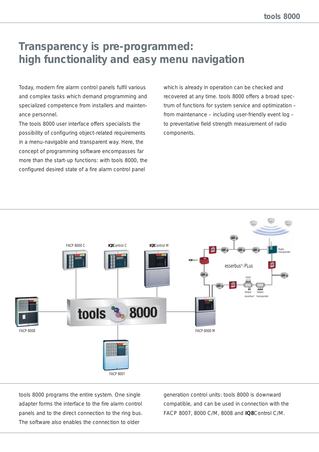## **Transparency is pre-programmed: high functionality and easy menu navigation**

Today, modern fire alarm control panels fulfil various and complex tasks which demand programming and specialized competence from installers and maintenance personnel.

The tools 8000 user interface offers specialists the possibility of configuring object-related requirements in a menu-navigable and transparent way. Here, the concept of programming software encompasses far more than the start-up functions: with tools 8000, the configured desired state of a fire alarm control panel

which is already in operation can be checked and recovered at any time. tools 8000 offers a broad spectrum of functions for system service and optimization – from maintenance – including user-friendly event log – to preventative field strength measurement of radio components.



tools 8000 programs the entire system. One single adapter forms the interface to the fire alarm control panels and to the direct connection to the ring bus. The software also enables the connection to older

generation control units: tools 8000 is downward compatible, and can be used in connection with the FACP 8007, 8000 C/M, 8008 and **IQ8**Control C/M.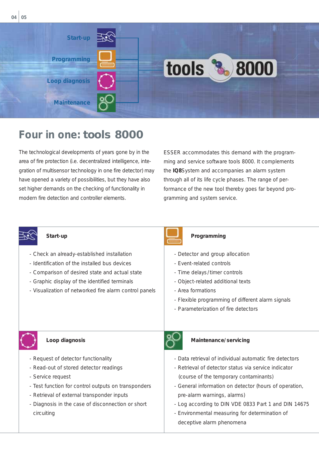

# **Four in one: tools 8000**

The technological developments of years gone by in the area of fire protection (i.e. decentralized intelligence, integration of multisensor technology in one fire detector) may have opened a variety of possibilities, but they have also set higher demands on the checking of functionality in modern fire detection and controller elements.

ESSER accommodates this demand with the programming and service software tools 8000. It complements the **IQ8**System and accompanies an alarm system through all of its life cycle phases. The range of performance of the new tool thereby goes far beyond programming and system service.



- Check an already-established installation
- Identification of the installed bus devices
- Comparison of desired state and actual state
- Graphic display of the identified terminals
- Visualization of networked fire alarm control panels



#### **Start-up Programming Programming**

- Detector and group allocation
- Event-related controls
- Time delays/timer controls
- Object-related additional texts
- Area formations
- Flexible programming of different alarm signals
- Parameterization of fire detectors



#### **Loop diagnosis**

- Request of detector functionality
- Read-out of stored detector readings
- Service request
- Test function for control outputs on transponders
- Retrieval of external transponder inputs
- Diagnosis in the case of disconnection or short circuiting



#### **Maintenance/servicing**

- Data retrieval of individual automatic fire detectors
- Retrieval of detector status via service indicator (course of the temporary contaminants)
- General information on detector (hours of operation, pre-alarm warnings, alarms)
- Log according to DIN VDE 0833 Part 1 and DIN 14675
- Environmental measuring for determination of deceptive alarm phenomena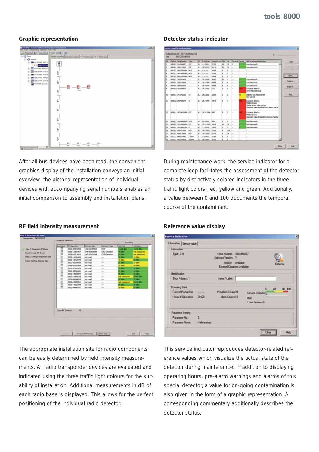#### **Graphic representation Detector status indicator**



After all bus devices have been read, the convenient graphics display of the installation conveys an initial overview: the pictorial representation of individual devices with accompanying serial numbers enables an initial comparison to assembly and installation plans.

## 三江  $315.707$  $\begin{array}{r} 20.3300 \\ 32.4399 \\ 20.3300 \\ 20.3300 \\ 11.3300 \end{array}$ 2222 **KY TAA THE A.A.** 11.15.2504 5517  $\frac{1}{2}$  $= 8.8$  $11.300$ Chie |

During maintenance work, the service indicator for a complete loop facilitates the assessment of the detector status by distinctively colored indicators in the three traffic light colors: red, yellow and green. Additionally, a value between 0 and 100 documents the temporal course of the contaminant.

# **TALLA BERLIN** o 1 Setting trans Sauch Pf Devices | New mo : **Detroit Environment**

The appropriate installation site for radio components can be easily determined by field intensity measurements. All radio transponder devices are evaluated and indicated using the three traffic light colours for the suitability of installation. Additional measurements in dB of each radio base is displayed. This allows for the perfect positioning of the individual radio detector.

**BA OF DOOR SAME RE** 

| Information Sensor value |                     |                                                       |  |                                |                              |        |
|--------------------------|---------------------|-------------------------------------------------------|--|--------------------------------|------------------------------|--------|
| <b>Description</b>       |                     |                                                       |  |                                |                              |        |
| Type: OTI                |                     | Serial Number 3310366637<br>Software Version ?        |  |                                |                              |        |
|                          |                     | Inclator: available<br>External Circuit not available |  |                                | <b><i><u>Betevik</u></i></b> |        |
| <b>Identification</b>    |                     |                                                       |  |                                |                              |        |
| Short Address 1          |                     | Name / Label                                          |  |                                |                              |        |
| Operating Data:          |                     |                                                       |  | n                              | 40                           | 80 100 |
| Date of Production: ~~~  |                     | Pre Alarm County20                                    |  | Service Indicator <sub>D</sub> |                              |        |
| Hours of Operation 30428 |                     | Alam Counter13                                        |  | <b>Het</b>                     |                              |        |
|                          |                     |                                                       |  | Loop device o.k.               |                              |        |
| Parameter Setting        |                     |                                                       |  |                                |                              |        |
| Parameter No.:           | 3                   |                                                       |  |                                |                              |        |
| Parameter Name:          | <b>Hallenmeider</b> |                                                       |  |                                |                              |        |

This service indicator reproduces detector-related reference values which visualize the actual state of the detector during maintenance. In addition to displaying operating hours, pre-alarm warnings and alarms of this special detector, a value for on-going contamination is also given in the form of a graphic representation. A corresponding commentary additionally describes the detector status.

### RF field intensity measurement **REF** Reference value display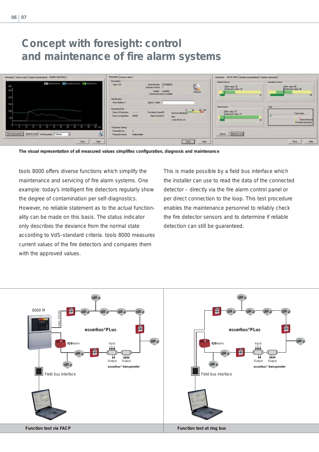| Internation   Sensor value   Graphic Interdentional   Traches (absolute) | Information   Service value                                                                                     |                                                                                                             |           | Information Service value   Graphic (rise duration)   Graphics (absolute) |                                                                               |  |
|--------------------------------------------------------------------------|-----------------------------------------------------------------------------------------------------------------|-------------------------------------------------------------------------------------------------------------|-----------|---------------------------------------------------------------------------|-------------------------------------------------------------------------------|--|
| El Optod Senus Ell temploy. Sense Ell Heat Senus                         | Descriptions<br>Type: 071                                                                                       | Seid Marker 331036637<br>$\mathbb{C}$<br>Solvan Vener:<br>Indoor available<br>External Certaintal available |           | Carloud Tremeler<br>Dirty value 20<br>Questers value 32<br>进              | <b>Soriouston Service</b><br><b>Sith voice 96</b><br>  Quescaré voice 99<br>影 |  |
|                                                                          | <b><i><u>Identification</u></i></b><br>Short Address 1<br>Doesling Date<br>Date of Fredericky<br><b>Holland</b> | Name / Label<br>Pre Main Count 20<br>Service Indicatory                                                     | 40 00:100 | <b>Haat Sensor</b><br>Eith value 27<br>Quiescent value 22                 | Total<br>Tristinian                                                           |  |
| 蕾.                                                                       | 30426<br><b>Prisons of Dawnettown</b><br><b>Fascula Setting</b>                                                 | <b>Alam Counter 13</b><br><b>Het</b><br>Lags design a.k.                                                    |           | ы                                                                         | Alam Birechuk<br><b>Pre-Alem Hyechold</b>                                     |  |
| 鸟<br>Stat reasonsess<br>Detector meet Working jarge 1 Minute<br>ョ        | <b>Faraneter No.</b><br>Hallenwelder<br><b>Faraneter Name</b>                                                   |                                                                                                             |           | Ease Detectorated                                                         |                                                                               |  |
| Help<br>Close                                                            |                                                                                                                 | Dot                                                                                                         | Halp      |                                                                           | Close                                                                         |  |

**The visual representation of all measured values simplifies configuration, diagnosis and maintenance** 

tools 8000 offers diverse functions which simplify the maintenance and servicing of fire alarm systems. One example: today's intelligent fire detectors regularly show the degree of contamination per self-diagnostics. However, no reliable statement as to the actual functionality can be made on this basis. The status indicator only describes the deviance from the normal state according to VdS-standard criteria. tools 8000 measures current values of the fire detectors and compares them with the approved values.

This is made possible by a field bus interface which the installer can use to read the data of the connected detector – directly via the fire alarm control panel or per direct connection to the loop. This test procedure enables the maintenance personnel to reliably check the fire detector sensors and to determine if reliable detection can still be guaranteed.

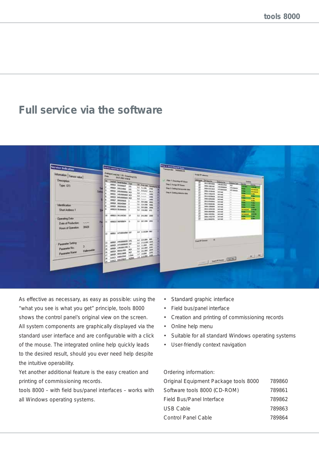# **Full service via the software**

| <b>Service Indication</b>                                                                                                                                                                                   | or received by andrew the                                                                                                                                                                                                                                                                                                                                                                                                                                                                                                                                                                                                                                                 | Sing 1: Standard Man<br>Transporter SASSONZIS                                                                                                                                                                                                                                                                                                                                                                                                                                                                                                                                                                                                                                                                                                                                                                                                                                                                                                                                                                                                                                                                                                                                                                                                |
|-------------------------------------------------------------------------------------------------------------------------------------------------------------------------------------------------------------|---------------------------------------------------------------------------------------------------------------------------------------------------------------------------------------------------------------------------------------------------------------------------------------------------------------------------------------------------------------------------------------------------------------------------------------------------------------------------------------------------------------------------------------------------------------------------------------------------------------------------------------------------------------------------|----------------------------------------------------------------------------------------------------------------------------------------------------------------------------------------------------------------------------------------------------------------------------------------------------------------------------------------------------------------------------------------------------------------------------------------------------------------------------------------------------------------------------------------------------------------------------------------------------------------------------------------------------------------------------------------------------------------------------------------------------------------------------------------------------------------------------------------------------------------------------------------------------------------------------------------------------------------------------------------------------------------------------------------------------------------------------------------------------------------------------------------------------------------------------------------------------------------------------------------------|
| Information   Sensor value  <br><b>Description</b><br>Type: OTI<br>Identification<br><b>Shot Address 1</b><br><b>Operating Data</b><br>Date of Production:<br><b>PURPER</b><br>30428<br>Hours of Operation: | Analogue Longiane 1.00 Entertaing FITS<br><b>DESTURNING</b><br><b>ISK</b><br><b>Juliet Searcher Tree</b><br>60000 331006637 OT<br>In Autom (Groups in<br>comes becaused on<br>At sime per<br><b>M HAIP ROK</b><br><b>KOREG 2452000001 HD</b><br><b>Ad Annual Gets</b><br>GOING ENTERTAINMENT PROP<br>68 --- 100<br>com/3 detailedness recy<br>All house last<br>comer processes<br>11 30 A.M.W. (699)<br>comm minerials<br>31 ILAUNE MAN<br>ы<br>GOING TRUCKSON<br>3.1 30.6200 mmg<br>6000/10 351000010<br>ы<br>3.2 114,000 HTS<br>lus:<br>0000113911342363 01<br>11 24,000 2000<br>1.0 ULT/WW 2006<br>111 GOINGE DISTURBANK<br>63 11:039 BE<br>TO: 000001 1470001450 OIT | <b>Assist PA delivered</b><br>delivery of him in<br>J Stip 1 Smalley M Anm<br><b>Terms</b><br><b>STATISTICS</b><br><b>WILD REVIEW</b><br><b>Interior Type - Dear was</b><br><b>Sing 2 Assign RF Bares</b><br><b>HINGHA</b><br>三百四四<br><b>JASH</b><br><b>NO</b><br>000612001007<br><b>Info@internet</b><br>œ<br>دي<br><b>STellerand</b><br>Sing 3 Setting harmonies day<br><b>2008-0213940</b><br>▭<br><b>HTtimitian</b><br><b>References</b><br>107 details<br><b>ODS-1415445 million</b><br>œ<br><b>Manuscript</b><br><b>Sing 4 Sating browns data</b><br><b>MEDISHING</b><br>تعدا<br>ment<br>四日日日日<br>÷<br>÷<br>WILDENSON, INCHES<br>-<br><b><i><u>PA</u></i></b><br><b>1000-EDITLINE</b><br><b>Ref mad</b><br>۰<br><b>Ball</b><br><b>WILD GTHERATE</b><br><b>Indianal</b><br>$\sim$<br>-<br>m<br>3012-002044M<br>me met<br>$\sim$<br>-<br>œ<br>0006-1200004<br>mit must<br>to a<br>m.<br><b>MILL-12942183</b><br>mit mad<br>-<br><b>BACK</b><br><b>CHAIN</b><br>0004-00694266<br><b>Industry</b><br>- 3<br><b>COL</b><br>n<br><b>Channel McMi</b><br>1000410828061<br>me mail<br>$-$<br><b>FA</b><br><b>SIRK COMPANY</b><br>not met<br>0006-14322729<br>in 1<br><b>TELEVISION</b><br>и<br><b>BRIT</b><br>GOLD DAKSUTOL HAR HART<br>$\sim$ |
| Parameter Setting<br>Palaneter No.<br><b>Hallmontider</b><br>Parameter Name                                                                                                                                 | 62 214,209 000<br>13 0000 141000000 016<br><b>64 1112200 1088</b><br>60005 14T12000636 OUT<br>8.2 TAUNA 1962<br>lи<br>GOOD LINESSEEING O<br>32 S1300 200<br>lıs<br>OCCUP MESSINGH NCP<br>AZ 152,000 1879<br>lu.<br>6003R 45411800 HZ<br>17, 1836 250<br>IT WAS CODED ON A STOLET IN                                                                                                                                                                                                                                                                                                                                                                                       | $-$<br>Country Denise                                                                                                                                                                                                                                                                                                                                                                                                                                                                                                                                                                                                                                                                                                                                                                                                                                                                                                                                                                                                                                                                                                                                                                                                                        |

As effective as necessary, as easy as possible: using the "what you see is what you get" principle, tools 8000 shows the control panel's original view on the screen. All system components are graphically displayed via the standard user interface and are configurable with a click of the mouse. The integrated online help quickly leads to the desired result, should you ever need help despite the intuitive operability.

Yet another additional feature is the easy creation and printing of commissioning records.

tools 8000 – with field bus/panel interfaces – works with all Windows operating systems.

- Standard graphic interface
- Field bus/panel interface
- Creation and printing of commissioning records
- Online help menu
- Suitable for all standard Windows operating systems
- User-friendly context navigation

Ordering information:

| Original Equipment Package tools 8000 | 789860 |
|---------------------------------------|--------|
| Software tools 8000 (CD-ROM)          | 789861 |
| Field Bus/Panel Interface             | 789862 |
| USB Cable                             | 789863 |
| <b>Control Panel Cable</b>            | 789864 |
|                                       |        |